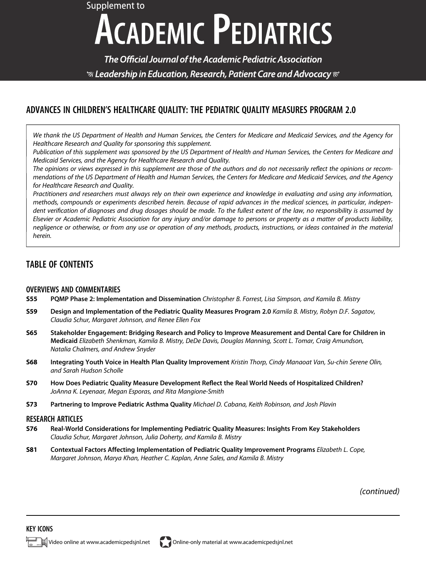# Supplement to **ACADEMIC PEDIATRICS**

The Official Journal of the Academic Pediatric Association  $\mathcal G$  Leadership in Education, Research, Patient Care and Advocacy  $\mathcal C$ 

### ADVANCES IN CHILDREN'S HEALTHCARE QUALITY: THE PEDIATRIC QUALITY MEASURES PROGRAM 2.0

We thank the US Department of Health and Human Services, the Centers for Medicare and Medicaid Services, and the Agency for Healthcare Research and Quality for sponsoring this supplement.

Publication of this supplement was sponsored by the US Department of Health and Human Services, the Centers for Medicare and Medicaid Services, and the Agency for Healthcare Research and Quality.

The opinions or views expressed in this supplement are those of the authors and do not necessarily reflect the opinions or recommendations of the US Department of Health and Human Services, the Centers for Medicare and Medicaid Services, and the Agency for Healthcare Research and Quality.

Practitioners and researchers must always rely on their own experience and knowledge in evaluating and using any information, methods, compounds or experiments described herein. Because of rapid advances in the medical sciences, in particular, independent verification of diagnoses and drug dosages should be made. To the fullest extent of the law, no responsibility is assumed by Elsevier or Academic Pediatric Association for any injury and/or damage to persons or property as a matter of products liability, negligence or otherwise, or from any use or operation of any methods, products, instructions, or ideas contained in the material herein.

## TABLE OF CONTENTS

#### OVERVIEWS AND COMMENTARIES

- S55 PQMP Phase 2: Implementation and Dissemination Christopher B. Forrest, Lisa Simpson, and Kamila B. Mistry
- S59 Design and Implementation of the Pediatric Quality Measures Program 2.0 Kamila B. Mistry, Robyn D.F. Sagatov, Claudia Schur, Margaret Johnson, and Renee Ellen Fox
- S65 Stakeholder Engagement: Bridging Research and Policy to Improve Measurement and Dental Care for Children in Medicaid Elizabeth Shenkman, Kamila B. Mistry, DeDe Davis, Douglas Manning, Scott L. Tomar, Craig Amundson, Natalia Chalmers, and Andrew Snyder
- S68 Integrating Youth Voice in Health Plan Quality Improvement Kristin Thorp, Cindy Manaoat Van, Su-chin Serene Olin, and Sarah Hudson Scholle
- S70 How Does Pediatric Quality Measure Development Reflect the Real World Needs of Hospitalized Children? JoAnna K. Leyenaar, Megan Esporas, and Rita Mangione-Smith
- S73 Partnering to Improve Pediatric Asthma Quality Michael D. Cabana, Keith Robinson, and Josh Plavin

#### RESEARCH ARTICLES

- S76 Real-World Considerations for Implementing Pediatric Quality Measures: Insights From Key Stakeholders Claudia Schur, Margaret Johnson, Julia Doherty, and Kamila B. Mistry
- S81 Contextual Factors Affecting Implementation of Pediatric Quality Improvement Programs Elizabeth L. Cope, Margaret Johnson, Marya Khan, Heather C. Kaplan, Anne Sales, and Kamila B. Mistry

(continued)